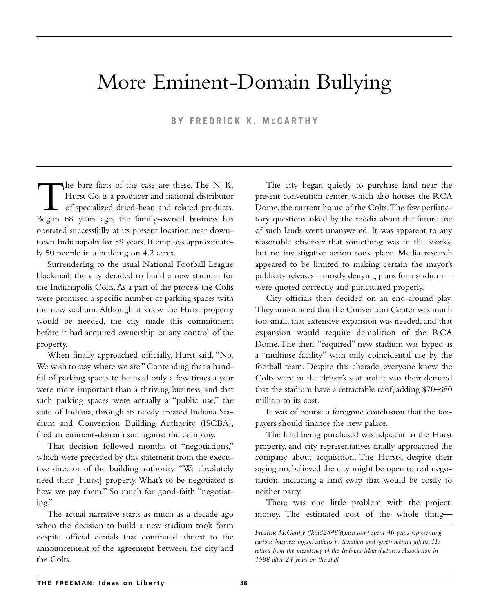# More Eminent-Domain Bullying

**BY FREDRICK K. M C CARTHY**

The bare facts of the case are these. The N. K.<br>Hurst Co. is a producer and national distributor<br>of specialized dried-bean and related products.<br>Begun 68 years ago, the family-owned business has Hurst Co. is a producer and national distributor of specialized dried-bean and related products. Begun 68 years ago, the family-owned business has operated successfully at its present location near downtown Indianapolis for 59 years. It employs approximately 50 people in a building on 4.2 acres.

Surrendering to the usual National Football League blackmail, the city decided to build a new stadium for the Indianapolis Colts.As a part of the process the Colts were promised a specific number of parking spaces with the new stadium. Although it knew the Hurst property would be needed, the city made this commitment before it had acquired ownership or any control of the property.

When finally approached officially, Hurst said, "No. We wish to stay where we are." Contending that a handful of parking spaces to be used only a few times a year were more important than a thriving business, and that such parking spaces were actually a "public use," the state of Indiana, through its newly created Indiana Stadium and Convention Building Authority (ISCBA), filed an eminent-domain suit against the company.

That decision followed months of "negotiations," which were preceded by this statement from the executive director of the building authority: "We absolutely need their [Hurst] property. What's to be negotiated is how we pay them." So much for good-faith "negotiating."

The actual narrative starts as much as a decade ago when the decision to build a new stadium took form despite official denials that continued almost to the announcement of the agreement between the city and the Colts.

The city began quietly to purchase land near the present convention center, which also houses the RCA Dome, the current home of the Colts.The few perfunctory questions asked by the media about the future use of such lands went unanswered. It was apparent to any reasonable observer that something was in the works, but no investigative action took place. Media research appeared to be limited to making certain the mayor's publicity releases—mostly denying plans for a stadium were quoted correctly and punctuated properly.

City officials then decided on an end-around play. They announced that the Convention Center was much too small, that extensive expansion was needed, and that expansion would require demolition of the RCA Dome.The then-"required" new stadium was hyped as a "multiuse facility" with only coincidental use by the football team. Despite this charade, everyone knew the Colts were in the driver's seat and it was their demand that the stadium have a retractable roof, adding \$70–\$80 million to its cost.

It was of course a foregone conclusion that the taxpayers should finance the new palace.

The land being purchased was adjacent to the Hurst property, and city representatives finally approached the company about acquisition. The Hursts, despite their saying no, believed the city might be open to real negotiation, including a land swap that would be costly to neither party.

There was one little problem with the project: money. The estimated cost of the whole thing—

*Fredrick McCarthy (fkm82848@msn.com) spent 40 years representing various business organizations in taxation and governmental affairs. He retired from the presidency of the Indiana Manufacturers Association in 1988 after 24 years on the staff.*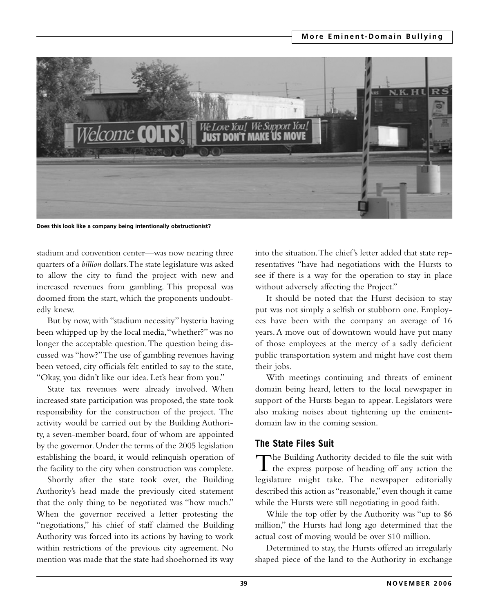

**Does this look like a company being intentionally obstructionist?**

stadium and convention center—was now nearing three quarters of a *billion* dollars.The state legislature was asked to allow the city to fund the project with new and increased revenues from gambling. This proposal was doomed from the start, which the proponents undoubtedly knew.

But by now, with "stadium necessity" hysteria having been whipped up by the local media,"whether?" was no longer the acceptable question.The question being discussed was "how?"The use of gambling revenues having been vetoed, city officials felt entitled to say to the state, "Okay, you didn't like our idea. Let's hear from you."

State tax revenues were already involved. When increased state participation was proposed, the state took responsibility for the construction of the project. The activity would be carried out by the Building Authority, a seven-member board, four of whom are appointed by the governor. Under the terms of the 2005 legislation establishing the board, it would relinquish operation of the facility to the city when construction was complete.

Shortly after the state took over, the Building Authority's head made the previously cited statement that the only thing to be negotiated was "how much." When the governor received a letter protesting the "negotiations," his chief of staff claimed the Building Authority was forced into its actions by having to work within restrictions of the previous city agreement. No mention was made that the state had shoehorned its way

into the situation.The chief's letter added that state representatives "have had negotiations with the Hursts to see if there is a way for the operation to stay in place without adversely affecting the Project."

It should be noted that the Hurst decision to stay put was not simply a selfish or stubborn one. Employees have been with the company an average of 16 years. A move out of downtown would have put many of those employees at the mercy of a sadly deficient public transportation system and might have cost them their jobs.

With meetings continuing and threats of eminent domain being heard, letters to the local newspaper in support of the Hursts began to appear. Legislators were also making noises about tightening up the eminentdomain law in the coming session.

## **The State Files Suit**

The Building Authority decided to file the suit with<br>the express purpose of heading off any action the legislature might take. The newspaper editorially described this action as "reasonable," even though it came while the Hursts were still negotiating in good faith.

While the top offer by the Authority was "up to \$6 million," the Hursts had long ago determined that the actual cost of moving would be over \$10 million.

Determined to stay, the Hursts offered an irregularly shaped piece of the land to the Authority in exchange